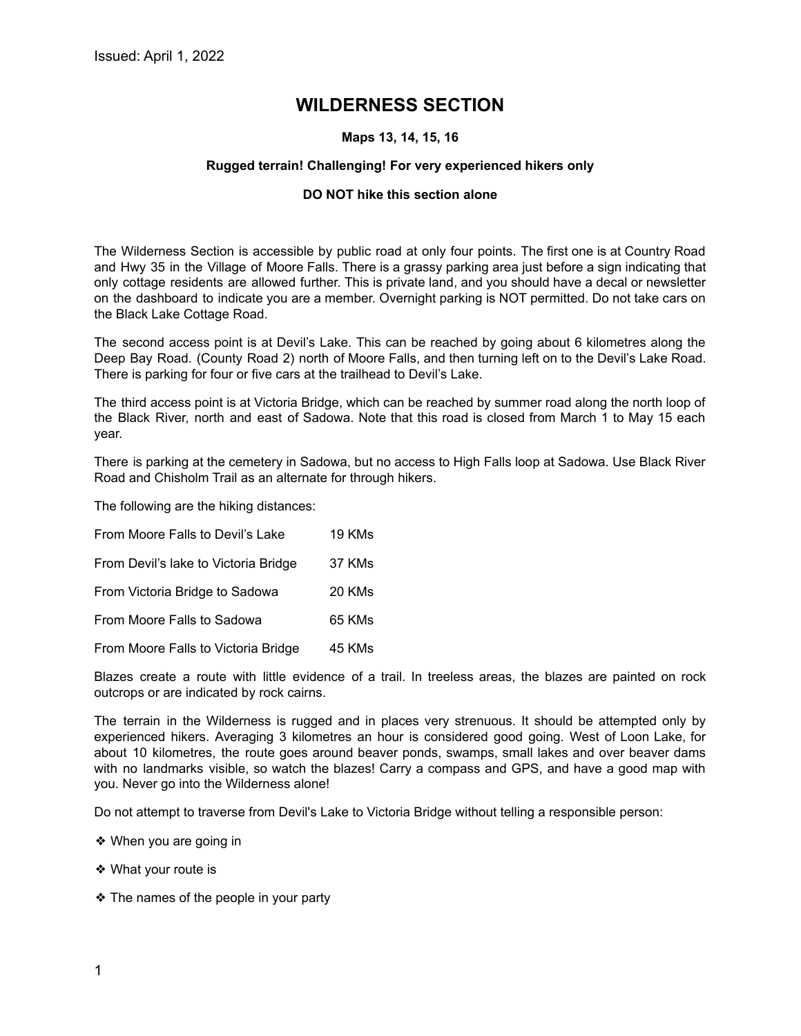# **WILDERNESS SECTION**

# **Maps 13, 14, 15, 16**

# **Rugged terrain! Challenging! For very experienced hikers only**

# **DO NOT hike this section alone**

The Wilderness Section is accessible by public road at only four points. The first one is at Country Road and Hwy 35 in the Village of Moore Falls. There is a grassy parking area just before a sign indicating that only cottage residents are allowed further. This is private land, and you should have a decal or newsletter on the dashboard to indicate you are a member. Overnight parking is NOT permitted. Do not take cars on the Black Lake Cottage Road.

The second access point is at Devil's Lake. This can be reached by going about 6 kilometres along the Deep Bay Road. (County Road 2) north of Moore Falls, and then turning left on to the Devil's Lake Road. There is parking for four or five cars at the trailhead to Devil's Lake.

The third access point is at Victoria Bridge, which can be reached by summer road along the north loop of the Black River, north and east of Sadowa. Note that this road is closed from March 1 to May 15 each year.

There is parking at the cemetery in Sadowa, but no access to High Falls loop at Sadowa. Use Black River Road and Chisholm Trail as an alternate for through hikers.

The following are the hiking distances:

| From Moore Falls to Devil's Lake     | 19 KMs |
|--------------------------------------|--------|
| From Devil's lake to Victoria Bridge | 37 KMs |
| From Victoria Bridge to Sadowa       | 20 KMs |
| From Moore Falls to Sadowa           | 65 KMs |
| From Moore Falls to Victoria Bridge  | 45 KMs |

Blazes create a route with little evidence of a trail. In treeless areas, the blazes are painted on rock outcrops or are indicated by rock cairns.

The terrain in the Wilderness is rugged and in places very strenuous. It should be attempted only by experienced hikers. Averaging 3 kilometres an hour is considered good going. West of Loon Lake, for about 10 kilometres, the route goes around beaver ponds, swamps, small lakes and over beaver dams with no landmarks visible, so watch the blazes! Carry a compass and GPS, and have a good map with you. Never go into the Wilderness alone!

Do not attempt to traverse from Devil's Lake to Victoria Bridge without telling a responsible person:

- ❖ When you are going in
- ❖ What your route is
- ❖ The names of the people in your party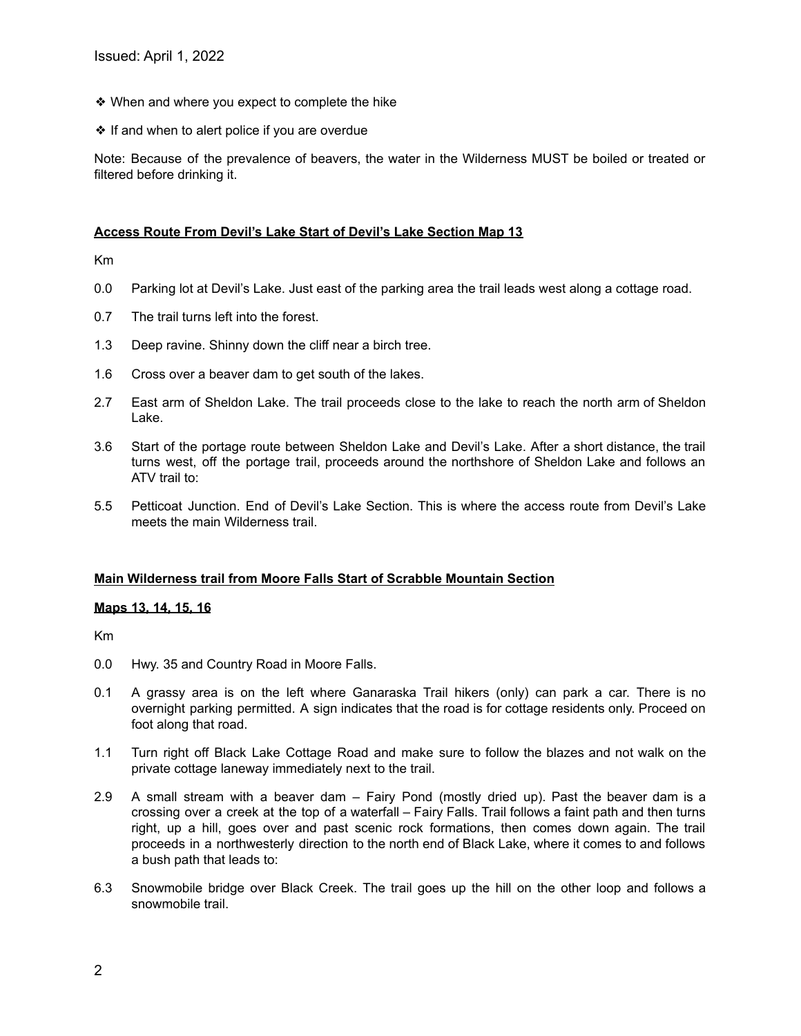- ❖ When and where you expect to complete the hike
- ❖ If and when to alert police if you are overdue

Note: Because of the prevalence of beavers, the water in the Wilderness MUST be boiled or treated or filtered before drinking it.

## **Access Route From Devil's Lake Start of Devil's Lake Section Map 13**

Km

- 0.0 Parking lot at Devil's Lake. Just east of the parking area the trail leads west along a cottage road.
- 0.7 The trail turns left into the forest.
- 1.3 Deep ravine. Shinny down the cliff near a birch tree.
- 1.6 Cross over a beaver dam to get south of the lakes.
- 2.7 East arm of Sheldon Lake. The trail proceeds close to the lake to reach the north arm of Sheldon Lake.
- 3.6 Start of the portage route between Sheldon Lake and Devil's Lake. After a short distance, the trail turns west, off the portage trail, proceeds around the northshore of Sheldon Lake and follows an ATV trail to:
- 5.5 Petticoat Junction. End of Devil's Lake Section. This is where the access route from Devil's Lake meets the main Wilderness trail.

#### **Main Wilderness trail from Moore Falls Start of Scrabble Mountain Section**

#### **Maps 13, 14, 15, 16**

Km

- 0.0 Hwy. 35 and Country Road in Moore Falls.
- 0.1 A grassy area is on the left where Ganaraska Trail hikers (only) can park a car. There is no overnight parking permitted. A sign indicates that the road is for cottage residents only. Proceed on foot along that road.
- 1.1 Turn right off Black Lake Cottage Road and make sure to follow the blazes and not walk on the private cottage laneway immediately next to the trail.
- 2.9 A small stream with a beaver dam Fairy Pond (mostly dried up). Past the beaver dam is a crossing over a creek at the top of a waterfall – Fairy Falls. Trail follows a faint path and then turns right, up a hill, goes over and past scenic rock formations, then comes down again. The trail proceeds in a northwesterly direction to the north end of Black Lake, where it comes to and follows a bush path that leads to:
- 6.3 Snowmobile bridge over Black Creek. The trail goes up the hill on the other loop and follows a snowmobile trail.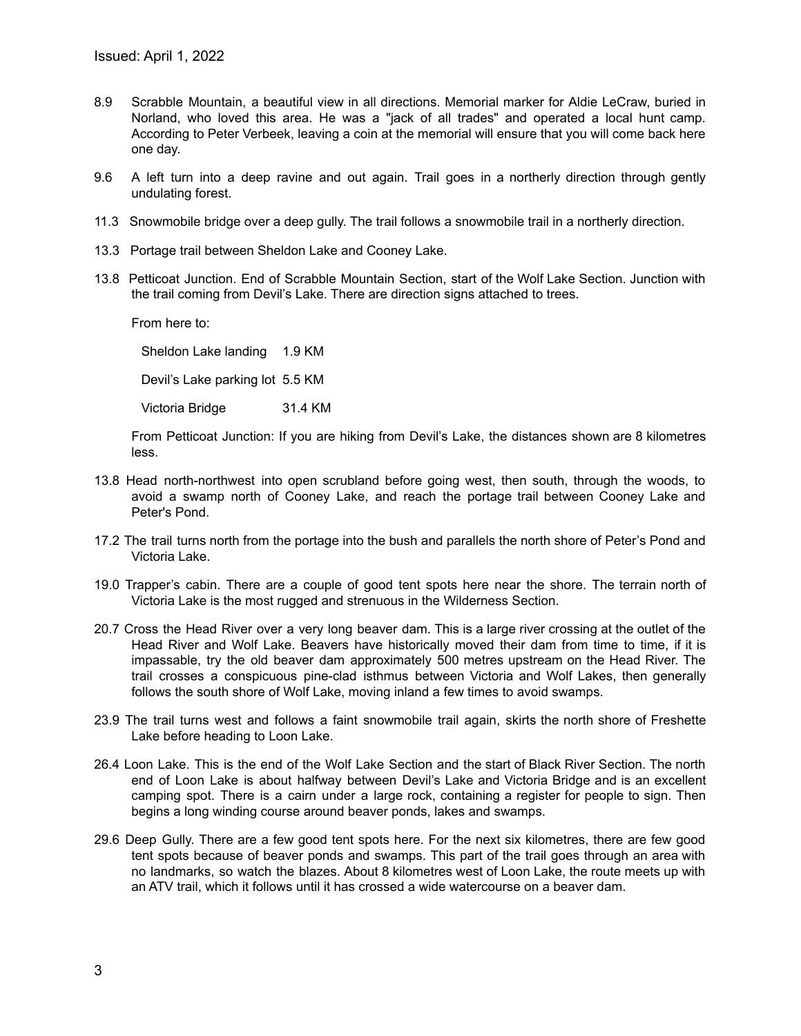- 8.9 Scrabble Mountain, a beautiful view in all directions. Memorial marker for Aldie LeCraw, buried in Norland, who loved this area. He was a "jack of all trades" and operated a local hunt camp. According to Peter Verbeek, leaving a coin at the memorial will ensure that you will come back here one day.
- 9.6 A left turn into a deep ravine and out again. Trail goes in a northerly direction through gently undulating forest.
- 11.3 Snowmobile bridge over a deep gully. The trail follows a snowmobile trail in a northerly direction.
- 13.3 Portage trail between Sheldon Lake and Cooney Lake.
- 13.8 Petticoat Junction. End of Scrabble Mountain Section, start of the Wolf Lake Section. Junction with the trail coming from Devil's Lake. There are direction signs attached to trees.

From here to:

Sheldon Lake landing 1.9 KM

Devil's Lake parking lot 5.5 KM

Victoria Bridge 31.4 KM

From Petticoat Junction: If you are hiking from Devil's Lake, the distances shown are 8 kilometres less.

- 13.8 Head north-northwest into open scrubland before going west, then south, through the woods, to avoid a swamp north of Cooney Lake, and reach the portage trail between Cooney Lake and Peter's Pond.
- 17.2 The trail turns north from the portage into the bush and parallels the north shore of Peter's Pond and Victoria Lake.
- 19.0 Trapper's cabin. There are a couple of good tent spots here near the shore. The terrain north of Victoria Lake is the most rugged and strenuous in the Wilderness Section.
- 20.7 Cross the Head River over a very long beaver dam. This is a large river crossing at the outlet of the Head River and Wolf Lake. Beavers have historically moved their dam from time to time, if it is impassable, try the old beaver dam approximately 500 metres upstream on the Head River. The trail crosses a conspicuous pine-clad isthmus between Victoria and Wolf Lakes, then generally follows the south shore of Wolf Lake, moving inland a few times to avoid swamps.
- 23.9 The trail turns west and follows a faint snowmobile trail again, skirts the north shore of Freshette Lake before heading to Loon Lake.
- 26.4 Loon Lake. This is the end of the Wolf Lake Section and the start of Black River Section. The north end of Loon Lake is about halfway between Devil's Lake and Victoria Bridge and is an excellent camping spot. There is a cairn under a large rock, containing a register for people to sign. Then begins a long winding course around beaver ponds, lakes and swamps.
- 29.6 Deep Gully. There are a few good tent spots here. For the next six kilometres, there are few good tent spots because of beaver ponds and swamps. This part of the trail goes through an area with no landmarks, so watch the blazes. About 8 kilometres west of Loon Lake, the route meets up with an ATV trail, which it follows until it has crossed a wide watercourse on a beaver dam.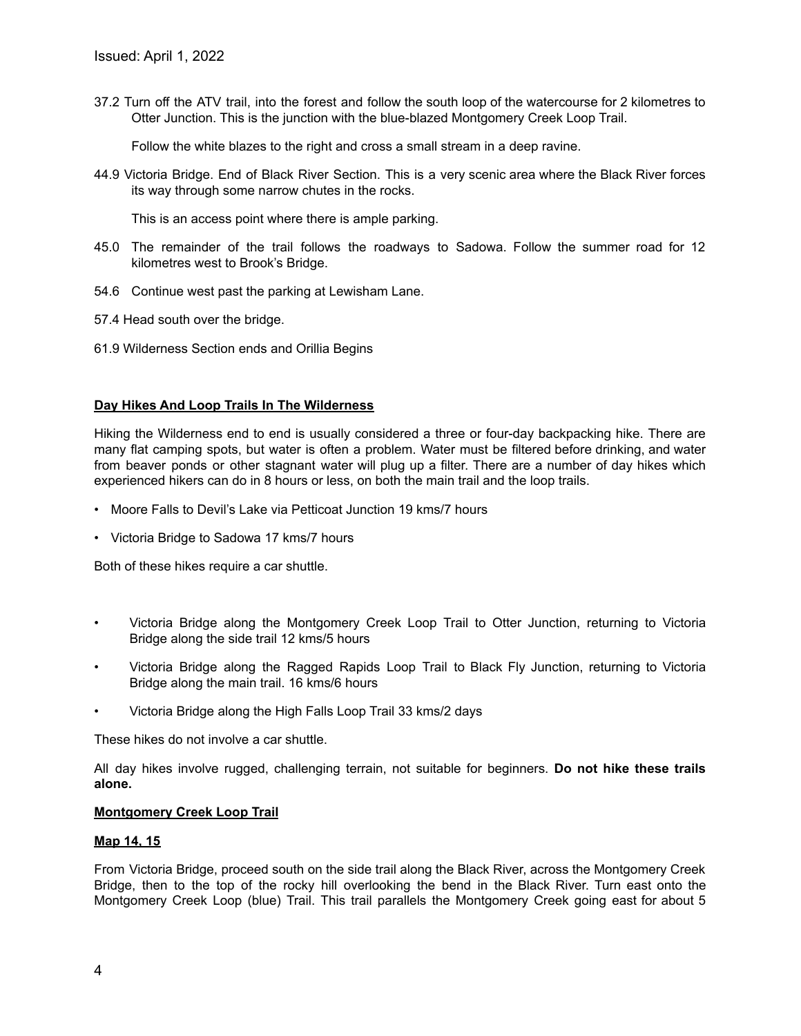37.2 Turn off the ATV trail, into the forest and follow the south loop of the watercourse for 2 kilometres to Otter Junction. This is the junction with the blue-blazed Montgomery Creek Loop Trail.

Follow the white blazes to the right and cross a small stream in a deep ravine.

44.9 Victoria Bridge. End of Black River Section. This is a very scenic area where the Black River forces its way through some narrow chutes in the rocks.

This is an access point where there is ample parking.

- 45.0 The remainder of the trail follows the roadways to Sadowa. Follow the summer road for 12 kilometres west to Brook's Bridge.
- 54.6 Continue west past the parking at Lewisham Lane.
- 57.4 Head south over the bridge.
- 61.9 Wilderness Section ends and Orillia Begins

#### **Day Hikes And Loop Trails In The Wilderness**

Hiking the Wilderness end to end is usually considered a three or four-day backpacking hike. There are many flat camping spots, but water is often a problem. Water must be filtered before drinking, and water from beaver ponds or other stagnant water will plug up a filter. There are a number of day hikes which experienced hikers can do in 8 hours or less, on both the main trail and the loop trails.

- Moore Falls to Devil's Lake via Petticoat Junction 19 kms/7 hours
- Victoria Bridge to Sadowa 17 kms/7 hours

Both of these hikes require a car shuttle.

- Victoria Bridge along the Montgomery Creek Loop Trail to Otter Junction, returning to Victoria Bridge along the side trail 12 kms/5 hours
- Victoria Bridge along the Ragged Rapids Loop Trail to Black Fly Junction, returning to Victoria Bridge along the main trail. 16 kms/6 hours
- Victoria Bridge along the High Falls Loop Trail 33 kms/2 days

These hikes do not involve a car shuttle.

All day hikes involve rugged, challenging terrain, not suitable for beginners. **Do not hike these trails alone.**

#### **Montgomery Creek Loop Trail**

#### **Map 14, 15**

From Victoria Bridge, proceed south on the side trail along the Black River, across the Montgomery Creek Bridge, then to the top of the rocky hill overlooking the bend in the Black River. Turn east onto the Montgomery Creek Loop (blue) Trail. This trail parallels the Montgomery Creek going east for about 5